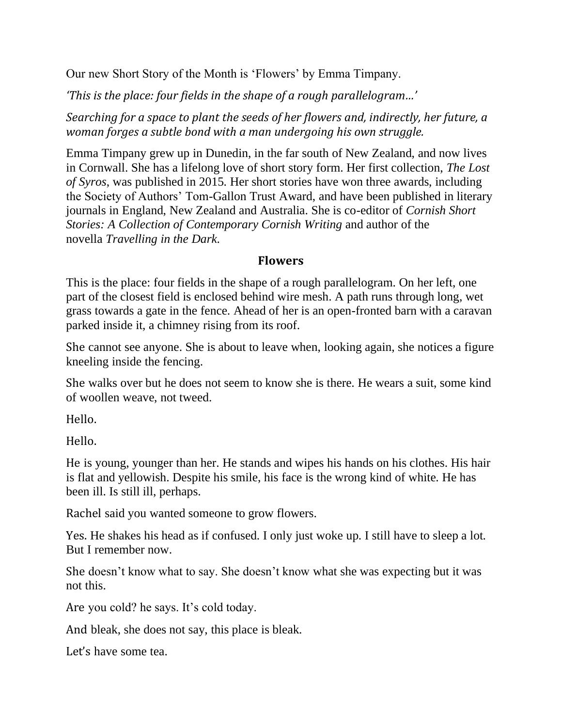Our new Short Story of the Month is 'Flowers' by Emma Timpany.

*'This is the place: four fields in the shape of a rough parallelogram…'*

*Searching for a space to plant the seeds of her flowers and, indirectly, her future, a woman forges a subtle bond with a man undergoing his own struggle.*

Emma Timpany grew up in Dunedin, in the far south of New Zealand, and now lives in Cornwall. She has a lifelong love of short story form. Her first collection, *The Lost of Syros*, was published in 2015. Her short stories have won three awards, including the Society of Authors' Tom-Gallon Trust Award, and have been published in literary journals in England, New Zealand and Australia. She is co-editor of *Cornish Short Stories: A Collection of Contemporary Cornish Writing* and author of the novella *Travelling in the Dark*.

## **Flowers**

This is the place: four fields in the shape of a rough parallelogram. On her left, one part of the closest field is enclosed behind wire mesh. A path runs through long, wet grass towards a gate in the fence. Ahead of her is an open-fronted barn with a caravan parked inside it, a chimney rising from its roof.

She cannot see anyone. She is about to leave when, looking again, she notices a figure kneeling inside the fencing.

She walks over but he does not seem to know she is there. He wears a suit, some kind of woollen weave, not tweed.

Hello.

Hello.

He is young, younger than her. He stands and wipes his hands on his clothes. His hair is flat and yellowish. Despite his smile, his face is the wrong kind of white. He has been ill. Is still ill, perhaps.

Rachel said you wanted someone to grow flowers.

Yes. He shakes his head as if confused. I only just woke up. I still have to sleep a lot. But I remember now.

She doesn't know what to say. She doesn't know what she was expecting but it was not this.

Are you cold? he says. It's cold today.

And bleak, she does not say, this place is bleak.

Let's have some tea.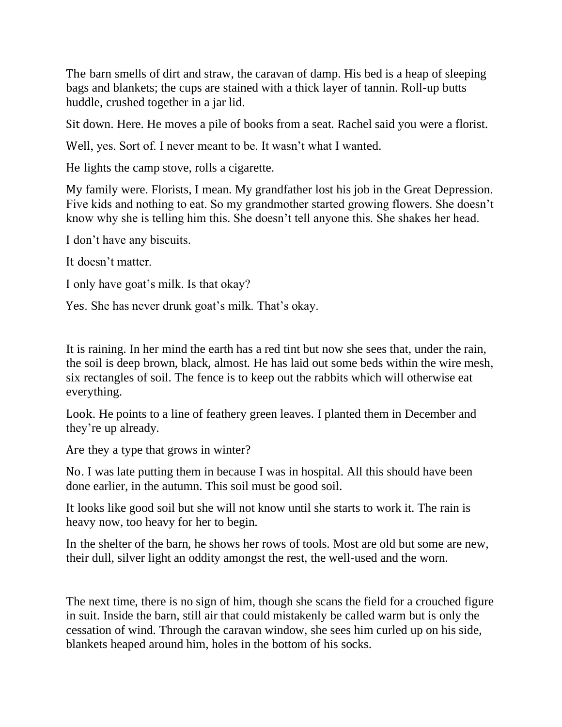The barn smells of dirt and straw, the caravan of damp. His bed is a heap of sleeping bags and blankets; the cups are stained with a thick layer of tannin. Roll-up butts huddle, crushed together in a jar lid.

Sit down. Here. He moves a pile of books from a seat. Rachel said you were a florist.

Well, yes. Sort of. I never meant to be. It wasn't what I wanted.

He lights the camp stove, rolls a cigarette.

My family were. Florists, I mean. My grandfather lost his job in the Great Depression. Five kids and nothing to eat. So my grandmother started growing flowers. She doesn't know why she is telling him this. She doesn't tell anyone this. She shakes her head.

I don't have any biscuits.

It doesn't matter.

I only have goat's milk. Is that okay?

Yes. She has never drunk goat's milk. That's okay.

It is raining. In her mind the earth has a red tint but now she sees that, under the rain, the soil is deep brown, black, almost. He has laid out some beds within the wire mesh, six rectangles of soil. The fence is to keep out the rabbits which will otherwise eat everything.

Look. He points to a line of feathery green leaves. I planted them in December and they're up already.

Are they a type that grows in winter?

No. I was late putting them in because I was in hospital. All this should have been done earlier, in the autumn. This soil must be good soil.

It looks like good soil but she will not know until she starts to work it. The rain is heavy now, too heavy for her to begin.

In the shelter of the barn, he shows her rows of tools. Most are old but some are new, their dull, silver light an oddity amongst the rest, the well-used and the worn.

The next time, there is no sign of him, though she scans the field for a crouched figure in suit. Inside the barn, still air that could mistakenly be called warm but is only the cessation of wind. Through the caravan window, she sees him curled up on his side, blankets heaped around him, holes in the bottom of his socks.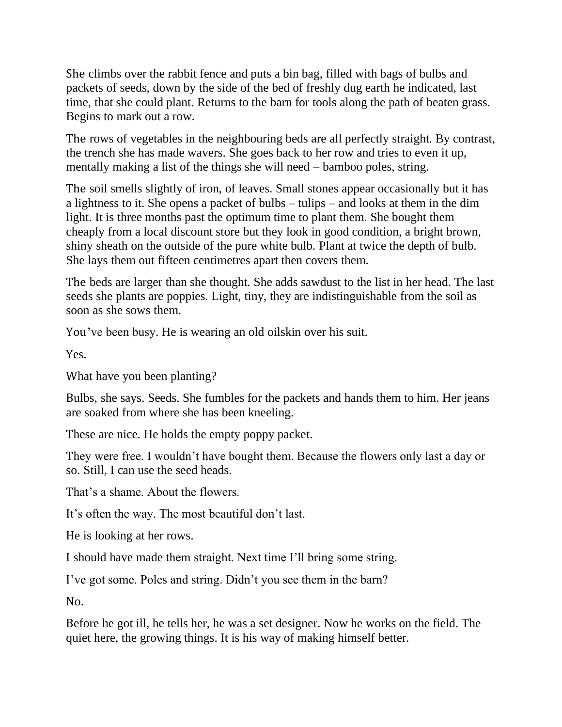She climbs over the rabbit fence and puts a bin bag, filled with bags of bulbs and packets of seeds, down by the side of the bed of freshly dug earth he indicated, last time, that she could plant. Returns to the barn for tools along the path of beaten grass. Begins to mark out a row.

The rows of vegetables in the neighbouring beds are all perfectly straight. By contrast, the trench she has made wavers. She goes back to her row and tries to even it up, mentally making a list of the things she will need – bamboo poles, string.

The soil smells slightly of iron, of leaves. Small stones appear occasionally but it has a lightness to it. She opens a packet of bulbs – tulips – and looks at them in the dim light. It is three months past the optimum time to plant them. She bought them cheaply from a local discount store but they look in good condition, a bright brown, shiny sheath on the outside of the pure white bulb. Plant at twice the depth of bulb. She lays them out fifteen centimetres apart then covers them.

The beds are larger than she thought. She adds sawdust to the list in her head. The last seeds she plants are poppies. Light, tiny, they are indistinguishable from the soil as soon as she sows them.

You've been busy. He is wearing an old oilskin over his suit.

Yes.

What have you been planting?

Bulbs, she says. Seeds. She fumbles for the packets and hands them to him. Her jeans are soaked from where she has been kneeling.

These are nice. He holds the empty poppy packet.

They were free. I wouldn't have bought them. Because the flowers only last a day or so. Still, I can use the seed heads.

That's a shame. About the flowers.

It's often the way. The most beautiful don't last.

He is looking at her rows.

I should have made them straight. Next time I'll bring some string.

I've got some. Poles and string. Didn't you see them in the barn?

No.

Before he got ill, he tells her, he was a set designer. Now he works on the field. The quiet here, the growing things. It is his way of making himself better.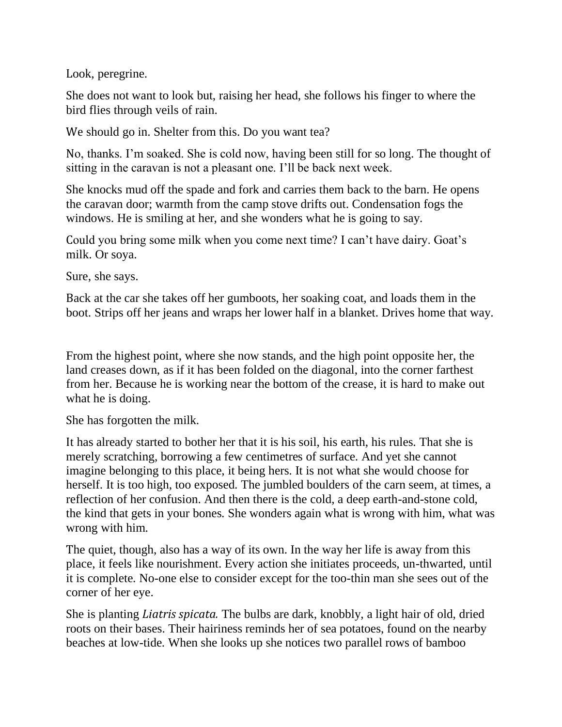Look, peregrine.

She does not want to look but, raising her head, she follows his finger to where the bird flies through veils of rain.

We should go in. Shelter from this. Do you want tea?

No, thanks. I'm soaked. She is cold now, having been still for so long. The thought of sitting in the caravan is not a pleasant one. I'll be back next week.

She knocks mud off the spade and fork and carries them back to the barn. He opens the caravan door; warmth from the camp stove drifts out. Condensation fogs the windows. He is smiling at her, and she wonders what he is going to say.

Could you bring some milk when you come next time? I can't have dairy. Goat's milk. Or soya.

Sure, she says.

Back at the car she takes off her gumboots, her soaking coat, and loads them in the boot. Strips off her jeans and wraps her lower half in a blanket. Drives home that way.

From the highest point, where she now stands, and the high point opposite her, the land creases down, as if it has been folded on the diagonal, into the corner farthest from her. Because he is working near the bottom of the crease, it is hard to make out what he is doing.

She has forgotten the milk.

It has already started to bother her that it is his soil, his earth, his rules. That she is merely scratching, borrowing a few centimetres of surface. And yet she cannot imagine belonging to this place, it being hers. It is not what she would choose for herself. It is too high, too exposed. The jumbled boulders of the carn seem, at times, a reflection of her confusion. And then there is the cold, a deep earth-and-stone cold, the kind that gets in your bones. She wonders again what is wrong with him, what was wrong with him.

The quiet, though, also has a way of its own. In the way her life is away from this place, it feels like nourishment. Every action she initiates proceeds, un-thwarted, until it is complete. No-one else to consider except for the too-thin man she sees out of the corner of her eye.

She is planting *Liatris spicata.* The bulbs are dark, knobbly, a light hair of old, dried roots on their bases. Their hairiness reminds her of sea potatoes, found on the nearby beaches at low-tide. When she looks up she notices two parallel rows of bamboo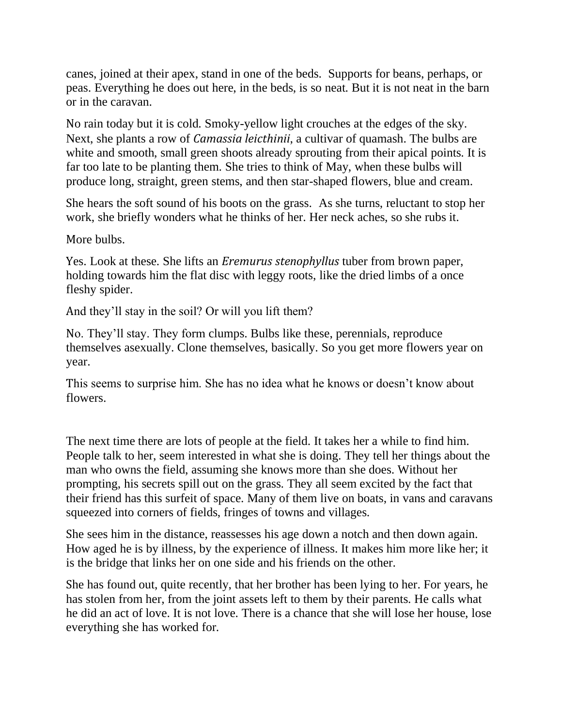canes, joined at their apex, stand in one of the beds. Supports for beans, perhaps, or peas. Everything he does out here, in the beds, is so neat. But it is not neat in the barn or in the caravan.

No rain today but it is cold. Smoky-yellow light crouches at the edges of the sky. Next, she plants a row of *Camassia leicthinii*, a cultivar of quamash. The bulbs are white and smooth, small green shoots already sprouting from their apical points. It is far too late to be planting them. She tries to think of May, when these bulbs will produce long, straight, green stems, and then star-shaped flowers, blue and cream.

She hears the soft sound of his boots on the grass. As she turns, reluctant to stop her work, she briefly wonders what he thinks of her. Her neck aches, so she rubs it.

More bulbs.

Yes. Look at these. She lifts an *Eremurus stenophyllus* tuber from brown paper, holding towards him the flat disc with leggy roots, like the dried limbs of a once fleshy spider.

And they'll stay in the soil? Or will you lift them?

No. They'll stay. They form clumps. Bulbs like these, perennials, reproduce themselves asexually. Clone themselves, basically. So you get more flowers year on year.

This seems to surprise him. She has no idea what he knows or doesn't know about flowers.

The next time there are lots of people at the field. It takes her a while to find him. People talk to her, seem interested in what she is doing. They tell her things about the man who owns the field, assuming she knows more than she does. Without her prompting, his secrets spill out on the grass. They all seem excited by the fact that their friend has this surfeit of space. Many of them live on boats, in vans and caravans squeezed into corners of fields, fringes of towns and villages.

She sees him in the distance, reassesses his age down a notch and then down again. How aged he is by illness, by the experience of illness. It makes him more like her; it is the bridge that links her on one side and his friends on the other.

She has found out, quite recently, that her brother has been lying to her. For years, he has stolen from her, from the joint assets left to them by their parents. He calls what he did an act of love. It is not love. There is a chance that she will lose her house, lose everything she has worked for.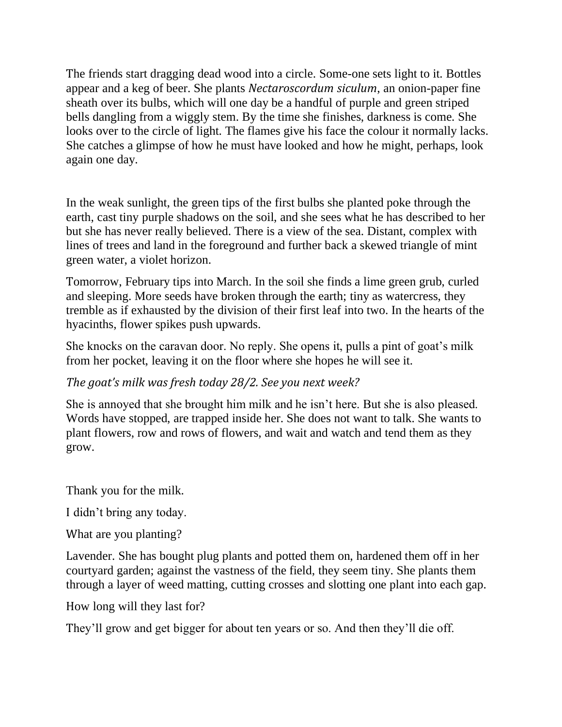The friends start dragging dead wood into a circle. Some-one sets light to it. Bottles appear and a keg of beer. She plants *Nectaroscordum siculum*, an onion-paper fine sheath over its bulbs, which will one day be a handful of purple and green striped bells dangling from a wiggly stem. By the time she finishes, darkness is come. She looks over to the circle of light. The flames give his face the colour it normally lacks. She catches a glimpse of how he must have looked and how he might, perhaps, look again one day.

In the weak sunlight, the green tips of the first bulbs she planted poke through the earth, cast tiny purple shadows on the soil, and she sees what he has described to her but she has never really believed. There is a view of the sea. Distant, complex with lines of trees and land in the foreground and further back a skewed triangle of mint green water, a violet horizon.

Tomorrow, February tips into March. In the soil she finds a lime green grub, curled and sleeping. More seeds have broken through the earth; tiny as watercress, they tremble as if exhausted by the division of their first leaf into two. In the hearts of the hyacinths, flower spikes push upwards.

She knocks on the caravan door. No reply. She opens it, pulls a pint of goat's milk from her pocket, leaving it on the floor where she hopes he will see it.

## *The goat's milk was fresh today 28/2. See you next week?*

She is annoyed that she brought him milk and he isn't here. But she is also pleased. Words have stopped, are trapped inside her. She does not want to talk. She wants to plant flowers, row and rows of flowers, and wait and watch and tend them as they grow.

Thank you for the milk.

I didn't bring any today.

What are you planting?

Lavender. She has bought plug plants and potted them on, hardened them off in her courtyard garden; against the vastness of the field, they seem tiny. She plants them through a layer of weed matting, cutting crosses and slotting one plant into each gap.

How long will they last for?

They'll grow and get bigger for about ten years or so. And then they'll die off.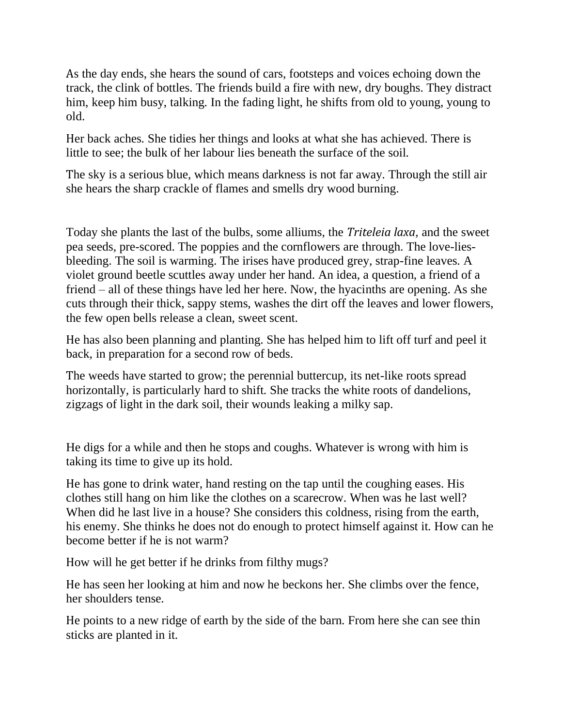As the day ends, she hears the sound of cars, footsteps and voices echoing down the track, the clink of bottles. The friends build a fire with new, dry boughs. They distract him, keep him busy, talking. In the fading light, he shifts from old to young, young to old.

Her back aches. She tidies her things and looks at what she has achieved. There is little to see; the bulk of her labour lies beneath the surface of the soil.

The sky is a serious blue, which means darkness is not far away. Through the still air she hears the sharp crackle of flames and smells dry wood burning.

Today she plants the last of the bulbs, some alliums, the *Triteleia laxa*, and the sweet pea seeds, pre-scored. The poppies and the cornflowers are through. The love-liesbleeding. The soil is warming. The irises have produced grey, strap-fine leaves. A violet ground beetle scuttles away under her hand. An idea, a question, a friend of a friend – all of these things have led her here. Now, the hyacinths are opening. As she cuts through their thick, sappy stems, washes the dirt off the leaves and lower flowers, the few open bells release a clean, sweet scent.

He has also been planning and planting. She has helped him to lift off turf and peel it back, in preparation for a second row of beds.

The weeds have started to grow; the perennial buttercup, its net-like roots spread horizontally, is particularly hard to shift. She tracks the white roots of dandelions, zigzags of light in the dark soil, their wounds leaking a milky sap.

He digs for a while and then he stops and coughs. Whatever is wrong with him is taking its time to give up its hold.

He has gone to drink water, hand resting on the tap until the coughing eases. His clothes still hang on him like the clothes on a scarecrow. When was he last well? When did he last live in a house? She considers this coldness, rising from the earth, his enemy. She thinks he does not do enough to protect himself against it. How can he become better if he is not warm?

How will he get better if he drinks from filthy mugs?

He has seen her looking at him and now he beckons her. She climbs over the fence, her shoulders tense.

He points to a new ridge of earth by the side of the barn. From here she can see thin sticks are planted in it.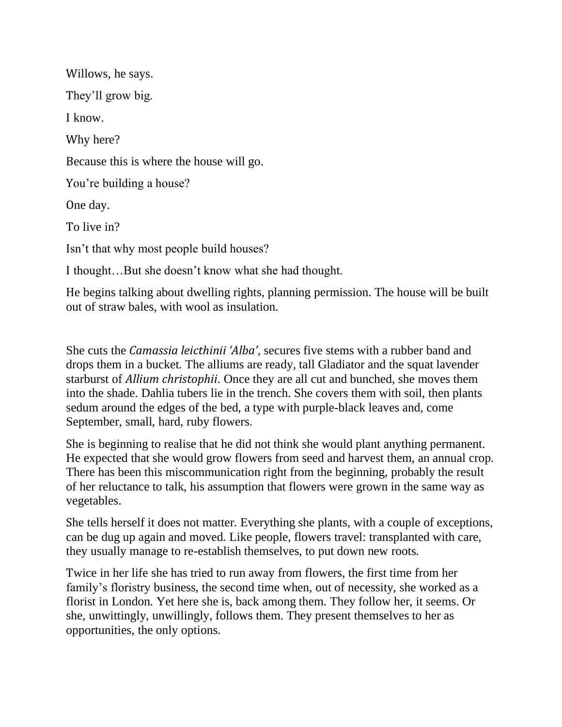Willows, he says. They'll grow big. I know. Why here? Because this is where the house will go. You're building a house? One day. To live in? Isn't that why most people build houses? I thought…But she doesn't know what she had thought.

He begins talking about dwelling rights, planning permission. The house will be built out of straw bales, with wool as insulation.

She cuts the *Camassia leicthinii 'Alba'*, secures five stems with a rubber band and drops them in a bucket. The alliums are ready, tall Gladiator and the squat lavender starburst of *Allium christophii*. Once they are all cut and bunched, she moves them into the shade. Dahlia tubers lie in the trench. She covers them with soil, then plants sedum around the edges of the bed, a type with purple-black leaves and, come September, small, hard, ruby flowers.

She is beginning to realise that he did not think she would plant anything permanent. He expected that she would grow flowers from seed and harvest them, an annual crop. There has been this miscommunication right from the beginning, probably the result of her reluctance to talk, his assumption that flowers were grown in the same way as vegetables.

She tells herself it does not matter. Everything she plants, with a couple of exceptions, can be dug up again and moved. Like people, flowers travel: transplanted with care, they usually manage to re-establish themselves, to put down new roots.

Twice in her life she has tried to run away from flowers, the first time from her family's floristry business, the second time when, out of necessity, she worked as a florist in London. Yet here she is, back among them. They follow her, it seems. Or she, unwittingly, unwillingly, follows them. They present themselves to her as opportunities, the only options.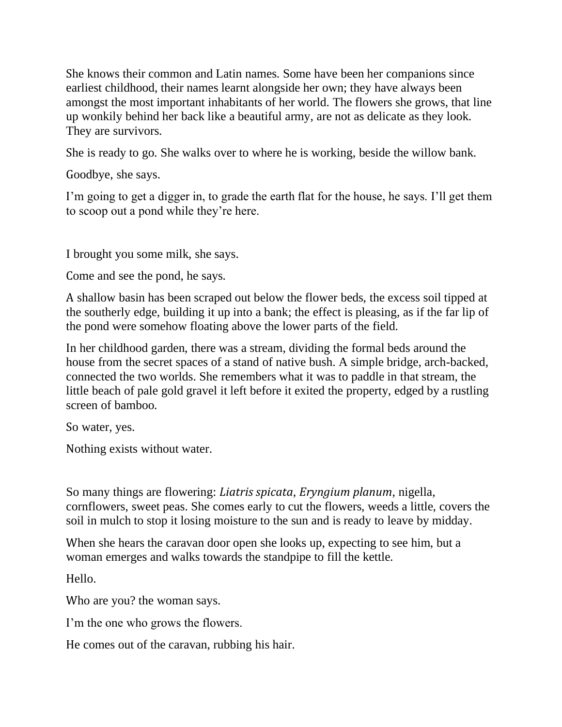She knows their common and Latin names. Some have been her companions since earliest childhood, their names learnt alongside her own; they have always been amongst the most important inhabitants of her world. The flowers she grows, that line up wonkily behind her back like a beautiful army, are not as delicate as they look. They are survivors.

She is ready to go. She walks over to where he is working, beside the willow bank.

Goodbye, she says.

I'm going to get a digger in, to grade the earth flat for the house, he says. I'll get them to scoop out a pond while they're here.

I brought you some milk, she says.

Come and see the pond, he says.

A shallow basin has been scraped out below the flower beds, the excess soil tipped at the southerly edge, building it up into a bank; the effect is pleasing, as if the far lip of the pond were somehow floating above the lower parts of the field.

In her childhood garden, there was a stream, dividing the formal beds around the house from the secret spaces of a stand of native bush. A simple bridge, arch-backed, connected the two worlds. She remembers what it was to paddle in that stream, the little beach of pale gold gravel it left before it exited the property, edged by a rustling screen of bamboo.

So water, yes.

Nothing exists without water.

So many things are flowering: *Liatris spicata*, *Eryngium planum*, nigella, cornflowers, sweet peas. She comes early to cut the flowers, weeds a little, covers the soil in mulch to stop it losing moisture to the sun and is ready to leave by midday.

When she hears the caravan door open she looks up, expecting to see him, but a woman emerges and walks towards the standpipe to fill the kettle.

Hello.

Who are you? the woman says.

I'm the one who grows the flowers.

He comes out of the caravan, rubbing his hair.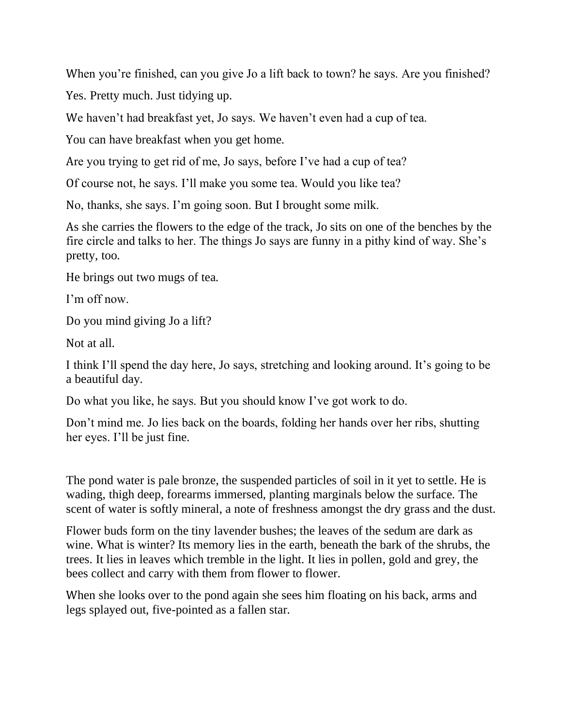When you're finished, can you give Jo a lift back to town? he says. Are you finished?

Yes. Pretty much. Just tidying up.

We haven't had breakfast yet, Jo says. We haven't even had a cup of tea.

You can have breakfast when you get home.

Are you trying to get rid of me, Jo says, before I've had a cup of tea?

Of course not, he says. I'll make you some tea. Would you like tea?

No, thanks, she says. I'm going soon. But I brought some milk.

As she carries the flowers to the edge of the track, Jo sits on one of the benches by the fire circle and talks to her. The things Jo says are funny in a pithy kind of way. She's pretty, too.

He brings out two mugs of tea.

I'm off now.

Do you mind giving Jo a lift?

Not at all.

I think I'll spend the day here, Jo says, stretching and looking around. It's going to be a beautiful day.

Do what you like, he says. But you should know I've got work to do.

Don't mind me. Jo lies back on the boards, folding her hands over her ribs, shutting her eyes. I'll be just fine.

The pond water is pale bronze, the suspended particles of soil in it yet to settle. He is wading, thigh deep, forearms immersed, planting marginals below the surface. The scent of water is softly mineral, a note of freshness amongst the dry grass and the dust.

Flower buds form on the tiny lavender bushes; the leaves of the sedum are dark as wine. What is winter? Its memory lies in the earth, beneath the bark of the shrubs, the trees. It lies in leaves which tremble in the light. It lies in pollen, gold and grey, the bees collect and carry with them from flower to flower.

When she looks over to the pond again she sees him floating on his back, arms and legs splayed out, five-pointed as a fallen star.